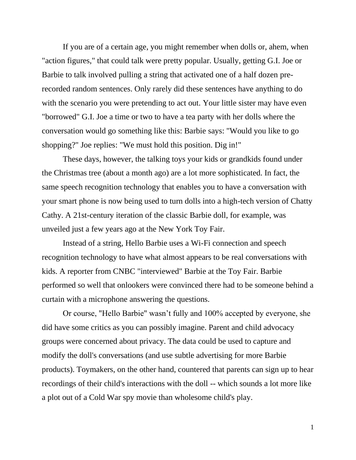If you are of a certain age, you might remember when dolls or, ahem, when "action figures," that could talk were pretty popular. Usually, getting G.I. Joe or Barbie to talk involved pulling a string that activated one of a half dozen prerecorded random sentences. Only rarely did these sentences have anything to do with the scenario you were pretending to act out. Your little sister may have even "borrowed" G.I. Joe a time or two to have a tea party with her dolls where the conversation would go something like this: Barbie says: "Would you like to go shopping?" Joe replies: "We must hold this position. Dig in!"

These days, however, the talking toys your kids or grandkids found under the Christmas tree (about a month ago) are a lot more sophisticated. In fact, the same speech recognition technology that enables you to have a conversation with your smart phone is now being used to turn dolls into a high-tech version of Chatty Cathy. A 21st-century iteration of the classic Barbie doll, for example, was unveiled just a few years ago at the New York Toy Fair.

Instead of a string, Hello Barbie uses a Wi-Fi connection and speech recognition technology to have what almost appears to be real conversations with kids. A reporter from CNBC "interviewed" Barbie at the Toy Fair. Barbie performed so well that onlookers were convinced there had to be someone behind a curtain with a microphone answering the questions.

Or course, "Hello Barbie" wasn't fully and 100% accepted by everyone, she did have some critics as you can possibly imagine. Parent and child advocacy groups were concerned about privacy. The data could be used to capture and modify the doll's conversations (and use subtle advertising for more Barbie products). Toymakers, on the other hand, countered that parents can sign up to hear recordings of their child's interactions with the doll -- which sounds a lot more like a plot out of a Cold War spy movie than wholesome child's play.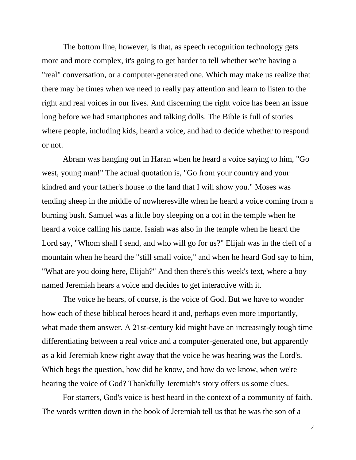The bottom line, however, is that, as speech recognition technology gets more and more complex, it's going to get harder to tell whether we're having a "real" conversation, or a computer-generated one. Which may make us realize that there may be times when we need to really pay attention and learn to listen to the right and real voices in our lives. And discerning the right voice has been an issue long before we had smartphones and talking dolls. The Bible is full of stories where people, including kids, heard a voice, and had to decide whether to respond or not.

Abram was hanging out in Haran when he heard a voice saying to him, "Go west, young man!" The actual quotation is, "Go from your country and your kindred and your father's house to the land that I will show you." Moses was tending sheep in the middle of nowheresville when he heard a voice coming from a burning bush. Samuel was a little boy sleeping on a cot in the temple when he heard a voice calling his name. Isaiah was also in the temple when he heard the Lord say, "Whom shall I send, and who will go for us?" Elijah was in the cleft of a mountain when he heard the "still small voice," and when he heard God say to him, "What are you doing here, Elijah?" And then there's this week's text, where a boy named Jeremiah hears a voice and decides to get interactive with it.

The voice he hears, of course, is the voice of God. But we have to wonder how each of these biblical heroes heard it and, perhaps even more importantly, what made them answer. A 21st-century kid might have an increasingly tough time differentiating between a real voice and a computer-generated one, but apparently as a kid Jeremiah knew right away that the voice he was hearing was the Lord's. Which begs the question, how did he know, and how do we know, when we're hearing the voice of God? Thankfully Jeremiah's story offers us some clues.

For starters, God's voice is best heard in the context of a community of faith. The words written down in the book of Jeremiah tell us that he was the son of a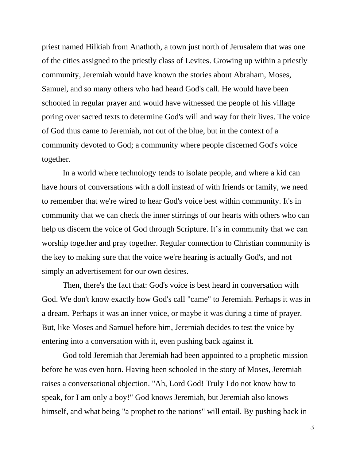priest named Hilkiah from Anathoth, a town just north of Jerusalem that was one of the cities assigned to the priestly class of Levites. Growing up within a priestly community, Jeremiah would have known the stories about Abraham, Moses, Samuel, and so many others who had heard God's call. He would have been schooled in regular prayer and would have witnessed the people of his village poring over sacred texts to determine God's will and way for their lives. The voice of God thus came to Jeremiah, not out of the blue, but in the context of a community devoted to God; a community where people discerned God's voice together.

In a world where technology tends to isolate people, and where a kid can have hours of conversations with a doll instead of with friends or family, we need to remember that we're wired to hear God's voice best within community. It's in community that we can check the inner stirrings of our hearts with others who can help us discern the voice of God through Scripture. It's in community that we can worship together and pray together. Regular connection to Christian community is the key to making sure that the voice we're hearing is actually God's, and not simply an advertisement for our own desires.

Then, there's the fact that: God's voice is best heard in conversation with God. We don't know exactly how God's call "came" to Jeremiah. Perhaps it was in a dream. Perhaps it was an inner voice, or maybe it was during a time of prayer. But, like Moses and Samuel before him, Jeremiah decides to test the voice by entering into a conversation with it, even pushing back against it.

God told Jeremiah that Jeremiah had been appointed to a prophetic mission before he was even born. Having been schooled in the story of Moses, Jeremiah raises a conversational objection. "Ah, Lord God! Truly I do not know how to speak, for I am only a boy!" God knows Jeremiah, but Jeremiah also knows himself, and what being "a prophet to the nations" will entail. By pushing back in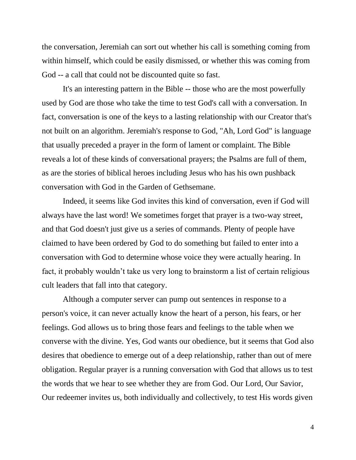the conversation, Jeremiah can sort out whether his call is something coming from within himself, which could be easily dismissed, or whether this was coming from God -- a call that could not be discounted quite so fast.

It's an interesting pattern in the Bible -- those who are the most powerfully used by God are those who take the time to test God's call with a conversation. In fact, conversation is one of the keys to a lasting relationship with our Creator that's not built on an algorithm. Jeremiah's response to God, "Ah, Lord God" is language that usually preceded a prayer in the form of lament or complaint. The Bible reveals a lot of these kinds of conversational prayers; the Psalms are full of them, as are the stories of biblical heroes including Jesus who has his own pushback conversation with God in the Garden of Gethsemane.

Indeed, it seems like God invites this kind of conversation, even if God will always have the last word! We sometimes forget that prayer is a two-way street, and that God doesn't just give us a series of commands. Plenty of people have claimed to have been ordered by God to do something but failed to enter into a conversation with God to determine whose voice they were actually hearing. In fact, it probably wouldn't take us very long to brainstorm a list of certain religious cult leaders that fall into that category.

Although a computer server can pump out sentences in response to a person's voice, it can never actually know the heart of a person, his fears, or her feelings. God allows us to bring those fears and feelings to the table when we converse with the divine. Yes, God wants our obedience, but it seems that God also desires that obedience to emerge out of a deep relationship, rather than out of mere obligation. Regular prayer is a running conversation with God that allows us to test the words that we hear to see whether they are from God. Our Lord, Our Savior, Our redeemer invites us, both individually and collectively, to test His words given